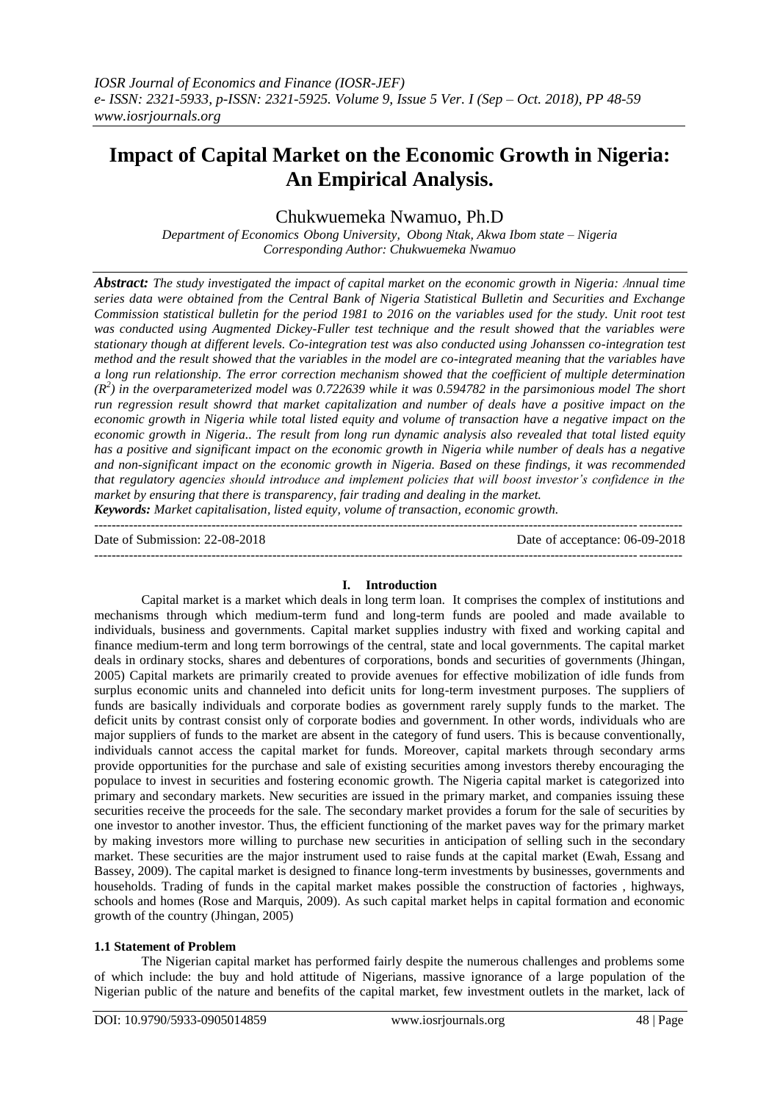# **Impact of Capital Market on the Economic Growth in Nigeria: An Empirical Analysis.**

Chukwuemeka Nwamuo, Ph.D

*Department of Economics Obong University, Obong Ntak, Akwa Ibom state – Nigeria Corresponding Author: Chukwuemeka Nwamuo*

*Abstract: The study investigated the impact of capital market on the economic growth in Nigeria:* A*nnual time series data were obtained from the Central Bank of Nigeria Statistical Bulletin and Securities and Exchange Commission statistical bulletin for the period 1981 to 2016 on the variables used for the study. Unit root test was conducted using Augmented Dickey-Fuller test technique and the result showed that the variables were stationary though at different levels. Co-integration test was also conducted using Johanssen co-integration test method and the result showed that the variables in the model are co-integrated meaning that the variables have a long run relationship. The error correction mechanism showed that the coefficient of multiple determination (R<sup>2</sup> ) in the overparameterized model was 0.722639 while it was 0.594782 in the parsimonious model The short run regression result showrd that market capitalization and number of deals have a positive impact on the economic growth in Nigeria while total listed equity and volume of transaction have a negative impact on the economic growth in Nigeria.. The result from long run dynamic analysis also revealed that total listed equity has a positive and significant impact on the economic growth in Nigeria while number of deals has a negative and non-significant impact on the economic growth in Nigeria. Based on these findings, it was recommended that regulatory agencies should introduce and implement policies that will boost investor's confidence in the market by ensuring that there is transparency, fair trading and dealing in the market.*

*Keywords: Market capitalisation, listed equity, volume of transaction, economic growth.* ---------------------------------------------------------------------------------------------------------------------------------------

Date of Submission: 22-08-2018 Date of acceptance: 06-09-2018

---------------------------------------------------------------------------------------------------------------------------------------

## **I. Introduction**

Capital market is a market which deals in long term loan. It comprises the complex of institutions and mechanisms through which medium-term fund and long-term funds are pooled and made available to individuals, business and governments. Capital market supplies industry with fixed and working capital and finance medium-term and long term borrowings of the central, state and local governments. The capital market deals in ordinary stocks, shares and debentures of corporations, bonds and securities of governments (Jhingan, 2005) Capital markets are primarily created to provide avenues for effective mobilization of idle funds from surplus economic units and channeled into deficit units for long-term investment purposes. The suppliers of funds are basically individuals and corporate bodies as government rarely supply funds to the market. The deficit units by contrast consist only of corporate bodies and government. In other words, individuals who are major suppliers of funds to the market are absent in the category of fund users. This is because conventionally, individuals cannot access the capital market for funds. Moreover, capital markets through secondary arms provide opportunities for the purchase and sale of existing securities among investors thereby encouraging the populace to invest in securities and fostering economic growth. The Nigeria capital market is categorized into primary and secondary markets. New securities are issued in the primary market, and companies issuing these securities receive the proceeds for the sale. The secondary market provides a forum for the sale of securities by one investor to another investor. Thus, the efficient functioning of the market paves way for the primary market by making investors more willing to purchase new securities in anticipation of selling such in the secondary market. These securities are the major instrument used to raise funds at the capital market (Ewah, Essang and Bassey, 2009). The capital market is designed to finance long-term investments by businesses, governments and households. Trading of funds in the capital market makes possible the construction of factories , highways, schools and homes (Rose and Marquis, 2009). As such capital market helps in capital formation and economic growth of the country (Jhingan, 2005)

#### **1.1 Statement of Problem**

The Nigerian capital market has performed fairly despite the numerous challenges and problems some of which include: the buy and hold attitude of Nigerians, massive ignorance of a large population of the Nigerian public of the nature and benefits of the capital market, few investment outlets in the market, lack of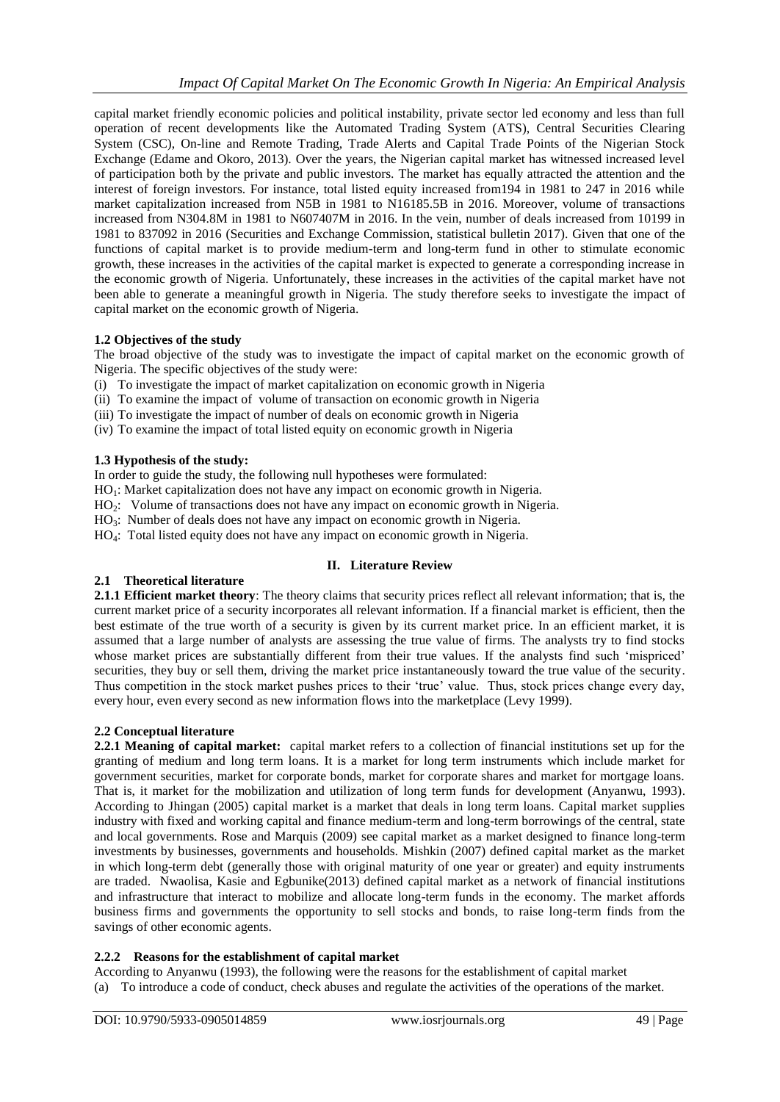capital market friendly economic policies and political instability, private sector led economy and less than full operation of recent developments like the Automated Trading System (ATS), Central Securities Clearing System (CSC), On-line and Remote Trading, Trade Alerts and Capital Trade Points of the Nigerian Stock Exchange (Edame and Okoro, 2013). Over the years, the Nigerian capital market has witnessed increased level of participation both by the private and public investors. The market has equally attracted the attention and the interest of foreign investors. For instance, total listed equity increased from194 in 1981 to 247 in 2016 while market capitalization increased from N5B in 1981 to N16185.5B in 2016. Moreover, volume of transactions increased from N304.8M in 1981 to N607407M in 2016. In the vein, number of deals increased from 10199 in 1981 to 837092 in 2016 (Securities and Exchange Commission, statistical bulletin 2017). Given that one of the functions of capital market is to provide medium-term and long-term fund in other to stimulate economic growth, these increases in the activities of the capital market is expected to generate a corresponding increase in the economic growth of Nigeria. Unfortunately, these increases in the activities of the capital market have not been able to generate a meaningful growth in Nigeria. The study therefore seeks to investigate the impact of capital market on the economic growth of Nigeria.

## **1.2 Objectives of the study**

The broad objective of the study was to investigate the impact of capital market on the economic growth of Nigeria. The specific objectives of the study were:

- (i) To investigate the impact of market capitalization on economic growth in Nigeria
- (ii) To examine the impact of volume of transaction on economic growth in Nigeria
- (iii) To investigate the impact of number of deals on economic growth in Nigeria
- (iv) To examine the impact of total listed equity on economic growth in Nigeria

## **1.3 Hypothesis of the study:**

In order to guide the study, the following null hypotheses were formulated:

- HO<sub>1</sub>: Market capitalization does not have any impact on economic growth in Nigeria.
- HO2: Volume of transactions does not have any impact on economic growth in Nigeria.
- HO<sub>3</sub>: Number of deals does not have any impact on economic growth in Nigeria.
- HO4: Total listed equity does not have any impact on economic growth in Nigeria.

## **II. Literature Review**

## **2.1 Theoretical literature**

**2.1.1 Efficient market theory**: The theory claims that security prices reflect all relevant information; that is, the current market price of a security incorporates all relevant information. If a financial market is efficient, then the best estimate of the true worth of a security is given by its current market price. In an efficient market, it is assumed that a large number of analysts are assessing the true value of firms. The analysts try to find stocks whose market prices are substantially different from their true values. If the analysts find such 'mispriced' securities, they buy or sell them, driving the market price instantaneously toward the true value of the security. Thus competition in the stock market pushes prices to their 'true' value. Thus, stock prices change every day, every hour, even every second as new information flows into the marketplace (Levy 1999).

## **2.2 Conceptual literature**

**2.2.1 Meaning of capital market:** capital market refers to a collection of financial institutions set up for the granting of medium and long term loans. It is a market for long term instruments which include market for government securities, market for corporate bonds, market for corporate shares and market for mortgage loans. That is, it market for the mobilization and utilization of long term funds for development (Anyanwu, 1993). According to Jhingan (2005) capital market is a market that deals in long term loans. Capital market supplies industry with fixed and working capital and finance medium-term and long-term borrowings of the central, state and local governments. Rose and Marquis (2009) see capital market as a market designed to finance long-term investments by businesses, governments and households. Mishkin (2007) defined capital market as the market in which long-term debt (generally those with original maturity of one year or greater) and equity instruments are traded. Nwaolisa, Kasie and Egbunike(2013) defined capital market as a network of financial institutions and infrastructure that interact to mobilize and allocate long-term funds in the economy. The market affords business firms and governments the opportunity to sell stocks and bonds, to raise long-term finds from the savings of other economic agents.

## **2.2.2 Reasons for the establishment of capital market**

According to Anyanwu (1993), the following were the reasons for the establishment of capital market (a) To introduce a code of conduct, check abuses and regulate the activities of the operations of the market.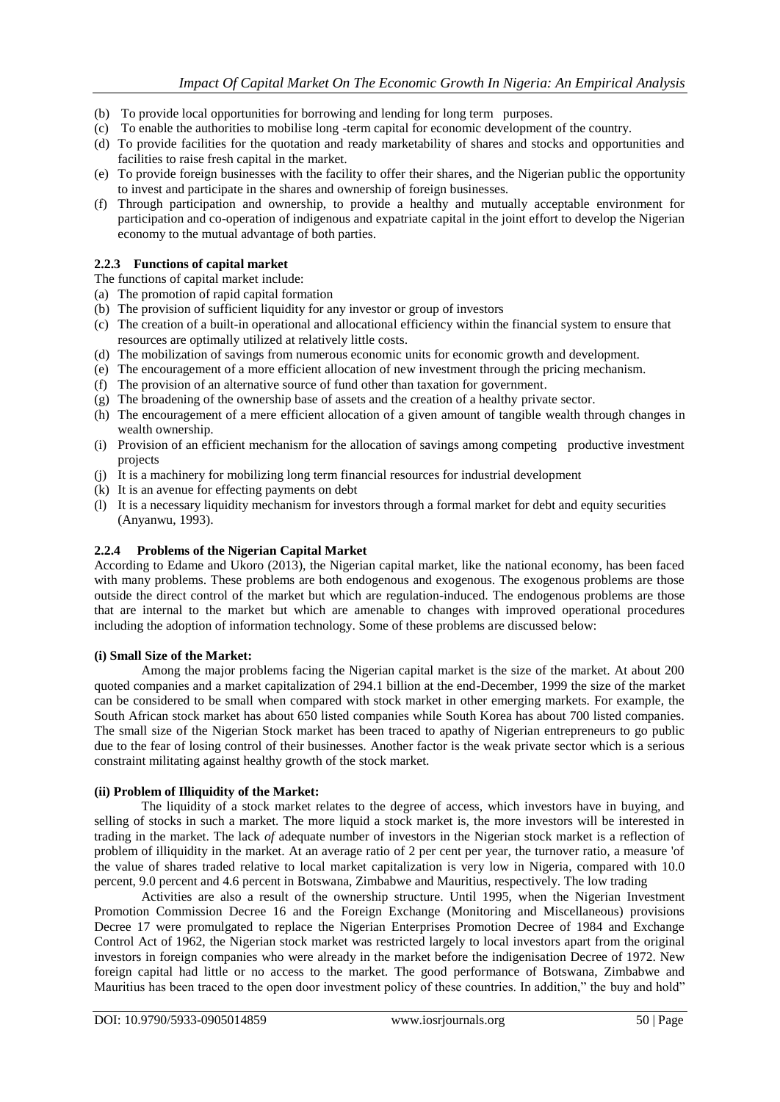- (b) To provide local opportunities for borrowing and lending for long term purposes.
- (c) To enable the authorities to mobilise long -term capital for economic development of the country.
- (d) To provide facilities for the quotation and ready marketability of shares and stocks and opportunities and facilities to raise fresh capital in the market.
- (e) To provide foreign businesses with the facility to offer their shares, and the Nigerian public the opportunity to invest and participate in the shares and ownership of foreign businesses.
- (f) Through participation and ownership, to provide a healthy and mutually acceptable environment for participation and co-operation of indigenous and expatriate capital in the joint effort to develop the Nigerian economy to the mutual advantage of both parties.

#### **2.2.3 Functions of capital market**

The functions of capital market include:

- (a) The promotion of rapid capital formation
- (b) The provision of sufficient liquidity for any investor or group of investors
- (c) The creation of a built-in operational and allocational efficiency within the financial system to ensure that resources are optimally utilized at relatively little costs.
- (d) The mobilization of savings from numerous economic units for economic growth and development.
- (e) The encouragement of a more efficient allocation of new investment through the pricing mechanism.
- (f) The provision of an alternative source of fund other than taxation for government.
- (g) The broadening of the ownership base of assets and the creation of a healthy private sector.
- (h) The encouragement of a mere efficient allocation of a given amount of tangible wealth through changes in wealth ownership.
- (i) Provision of an efficient mechanism for the allocation of savings among competing productive investment projects
- (j) It is a machinery for mobilizing long term financial resources for industrial development
- (k) It is an avenue for effecting payments on debt
- (l) It is a necessary liquidity mechanism for investors through a formal market for debt and equity securities (Anyanwu, 1993).

#### **2.2.4 Problems of the Nigerian Capital Market**

According to Edame and Ukoro (2013), the Nigerian capital market, like the national economy, has been faced with many problems. These problems are both endogenous and exogenous. The exogenous problems are those outside the direct control of the market but which are regulation-induced. The endogenous problems are those that are internal to the market but which are amenable to changes with improved operational procedures including the adoption of information technology. Some of these problems are discussed below:

#### **(i) Small Size of the Market:**

Among the major problems facing the Nigerian capital market is the size of the market. At about 200 quoted companies and a market capitalization of 294.1 billion at the end-December, 1999 the size of the market can be considered to be small when compared with stock market in other emerging markets. For example, the South African stock market has about 650 listed companies while South Korea has about 700 listed companies. The small size of the Nigerian Stock market has been traced to apathy of Nigerian entrepreneurs to go public due to the fear of losing control of their businesses. Another factor is the weak private sector which is a serious constraint militating against healthy growth of the stock market.

#### **(ii) Problem of Illiquidity of the Market:**

The liquidity of a stock market relates to the degree of access, which investors have in buying, and selling of stocks in such a market. The more liquid a stock market is, the more investors will be interested in trading in the market. The lack *of* adequate number of investors in the Nigerian stock market is a reflection of problem of illiquidity in the market. At an average ratio of 2 per cent per year, the turnover ratio, a measure 'of the value of shares traded relative to local market capitalization is very low in Nigeria, compared with 10.0 percent, 9.0 percent and 4.6 percent in Botswana, Zimbabwe and Mauritius, respectively. The low trading

Activities are also a result of the ownership structure. Until 1995, when the Nigerian Investment Promotion Commission Decree 16 and the Foreign Exchange (Monitoring and Miscellaneous) provisions Decree 17 were promulgated to replace the Nigerian Enterprises Promotion Decree of 1984 and Exchange Control Act of 1962, the Nigerian stock market was restricted largely to local investors apart from the original investors in foreign companies who were already in the market before the indigenisation Decree of 1972. New foreign capital had little or no access to the market. The good performance of Botswana, Zimbabwe and Mauritius has been traced to the open door investment policy of these countries. In addition," the buy and hold"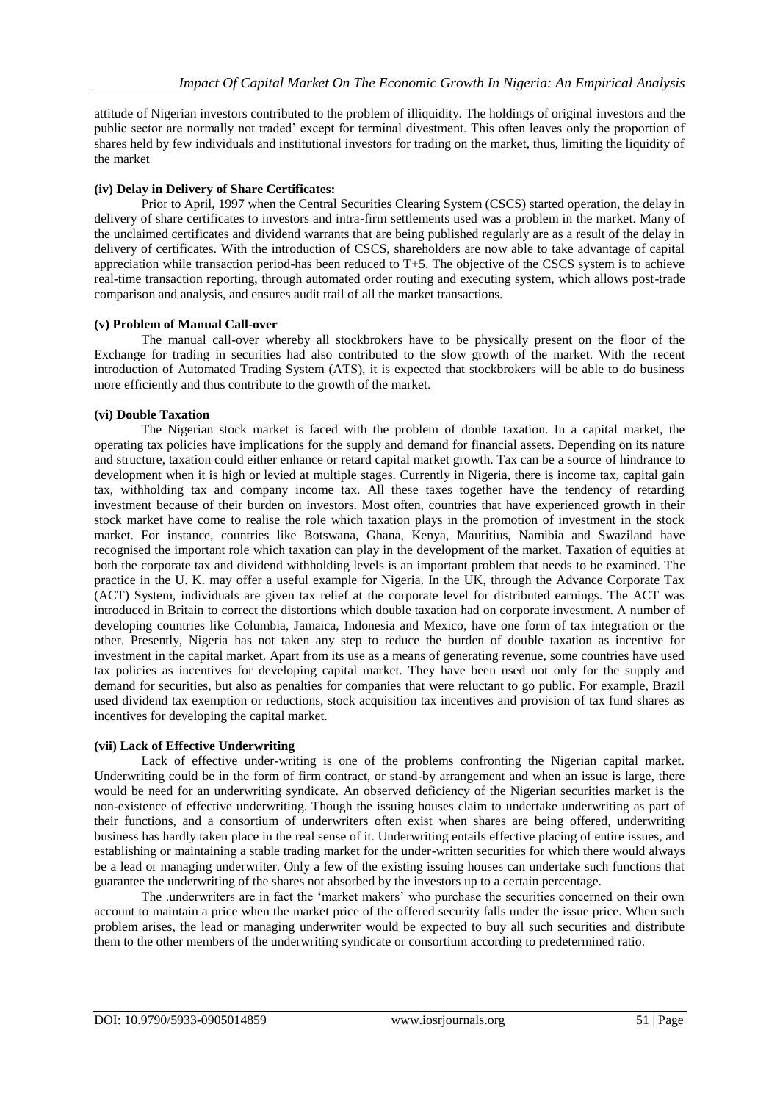attitude of Nigerian investors contributed to the problem of illiquidity. The holdings of original investors and the public sector are normally not traded' except for terminal divestment. This often leaves only the proportion of shares held by few individuals and institutional investors for trading on the market, thus, limiting the liquidity of the market

## **(iv) Delay in Delivery of Share Certificates:**

Prior to April, 1997 when the Central Securities Clearing System (CSCS) started operation, the delay in delivery of share certificates to investors and intra-firm settlements used was a problem in the market. Many of the unclaimed certificates and dividend warrants that are being published regularly are as a result of the delay in delivery of certificates. With the introduction of CSCS, shareholders are now able to take advantage of capital appreciation while transaction period-has been reduced to T+5. The objective of the CSCS system is to achieve real-time transaction reporting, through automated order routing and executing system, which allows post-trade comparison and analysis, and ensures audit trail of all the market transactions.

#### **(v) Problem of Manual Call-over**

The manual call-over whereby all stockbrokers have to be physically present on the floor of the Exchange for trading in securities had also contributed to the slow growth of the market. With the recent introduction of Automated Trading System (ATS), it is expected that stockbrokers will be able to do business more efficiently and thus contribute to the growth of the market.

## **(vi) Double Taxation**

The Nigerian stock market is faced with the problem of double taxation. In a capital market, the operating tax policies have implications for the supply and demand for financial assets. Depending on its nature and structure, taxation could either enhance or retard capital market growth. Tax can be a source of hindrance to development when it is high or levied at multiple stages. Currently in Nigeria, there is income tax, capital gain tax, withholding tax and company income tax. All these taxes together have the tendency of retarding investment because of their burden on investors. Most often, countries that have experienced growth in their stock market have come to realise the role which taxation plays in the promotion of investment in the stock market. For instance, countries like Botswana, Ghana, Kenya, Mauritius, Namibia and Swaziland have recognised the important role which taxation can play in the development of the market. Taxation of equities at both the corporate tax and dividend withholding levels is an important problem that needs to be examined. The practice in the U. K. may offer a useful example for Nigeria. In the UK, through the Advance Corporate Tax (ACT) System, individuals are given tax relief at the corporate level for distributed earnings. The ACT was introduced in Britain to correct the distortions which double taxation had on corporate investment. A number of developing countries like Columbia, Jamaica, Indonesia and Mexico, have one form of tax integration or the other. Presently, Nigeria has not taken any step to reduce the burden of double taxation as incentive for investment in the capital market. Apart from its use as a means of generating revenue, some countries have used tax policies as incentives for developing capital market. They have been used not only for the supply and demand for securities, but also as penalties for companies that were reluctant to go public. For example, Brazil used dividend tax exemption or reductions, stock acquisition tax incentives and provision of tax fund shares as incentives for developing the capital market.

#### **(vii) Lack of Effective Underwriting**

Lack of effective under-writing is one of the problems confronting the Nigerian capital market. Underwriting could be in the form of firm contract, or stand-by arrangement and when an issue is large, there would be need for an underwriting syndicate. An observed deficiency of the Nigerian securities market is the non-existence of effective underwriting. Though the issuing houses claim to undertake underwriting as part of their functions, and a consortium of underwriters often exist when shares are being offered, underwriting business has hardly taken place in the real sense of it. Underwriting entails effective placing of entire issues, and establishing or maintaining a stable trading market for the under-written securities for which there would always be a lead or managing underwriter. Only a few of the existing issuing houses can undertake such functions that guarantee the underwriting of the shares not absorbed by the investors up to a certain percentage.

The .underwriters are in fact the 'market makers' who purchase the securities concerned on their own account to maintain a price when the market price of the offered security falls under the issue price. When such problem arises, the lead or managing underwriter would be expected to buy all such securities and distribute them to the other members of the underwriting syndicate or consortium according to predetermined ratio.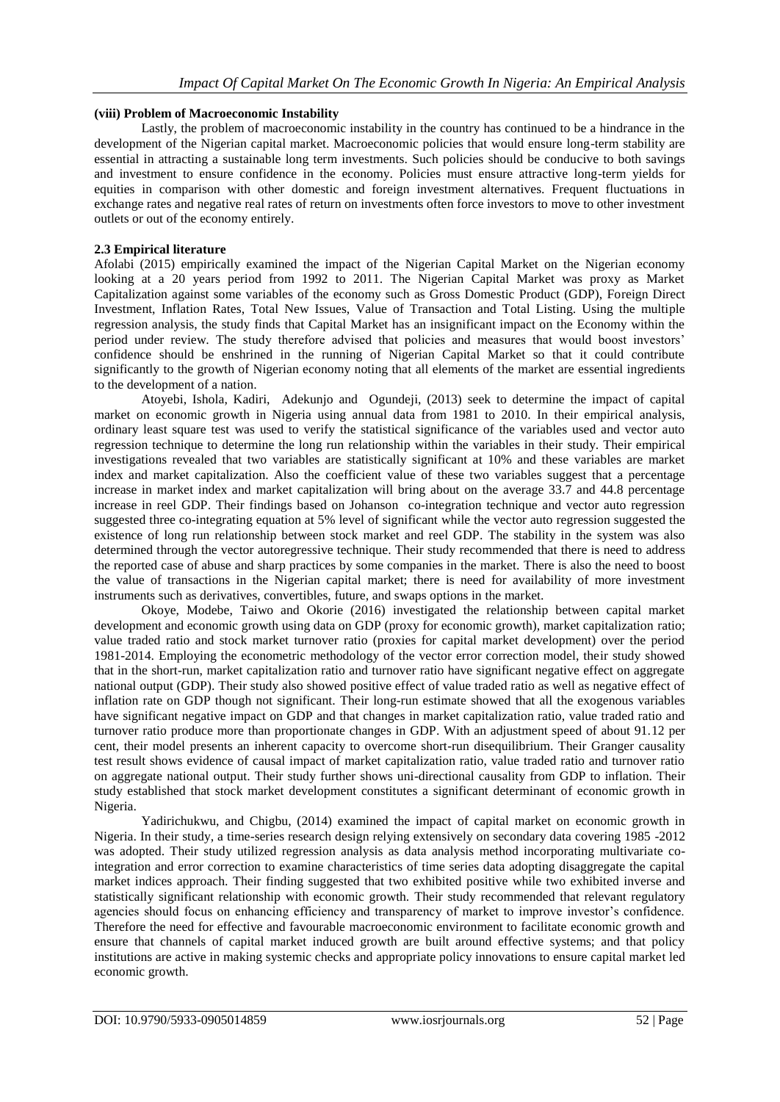## **(viii) Problem of Macroeconomic Instability**

Lastly, the problem of macroeconomic instability in the country has continued to be a hindrance in the development of the Nigerian capital market. Macroeconomic policies that would ensure long-term stability are essential in attracting a sustainable long term investments. Such policies should be conducive to both savings and investment to ensure confidence in the economy. Policies must ensure attractive long-term yields for equities in comparison with other domestic and foreign investment alternatives. Frequent fluctuations in exchange rates and negative real rates of return on investments often force investors to move to other investment outlets or out of the economy entirely.

## **2.3 Empirical literature**

Afolabi (2015) empirically examined the impact of the Nigerian Capital Market on the Nigerian economy looking at a 20 years period from 1992 to 2011. The Nigerian Capital Market was proxy as Market Capitalization against some variables of the economy such as Gross Domestic Product (GDP), Foreign Direct Investment, Inflation Rates, Total New Issues, Value of Transaction and Total Listing. Using the multiple regression analysis, the study finds that Capital Market has an insignificant impact on the Economy within the period under review. The study therefore advised that policies and measures that would boost investors' confidence should be enshrined in the running of Nigerian Capital Market so that it could contribute significantly to the growth of Nigerian economy noting that all elements of the market are essential ingredients to the development of a nation.

Atoyebi, Ishola, Kadiri, Adekunjo and Ogundeji, (2013) seek to determine the impact of capital market on economic growth in Nigeria using annual data from 1981 to 2010. In their empirical analysis, ordinary least square test was used to verify the statistical significance of the variables used and vector auto regression technique to determine the long run relationship within the variables in their study. Their empirical investigations revealed that two variables are statistically significant at 10% and these variables are market index and market capitalization. Also the coefficient value of these two variables suggest that a percentage increase in market index and market capitalization will bring about on the average 33.7 and 44.8 percentage increase in reel GDP. Their findings based on Johanson co-integration technique and vector auto regression suggested three co-integrating equation at 5% level of significant while the vector auto regression suggested the existence of long run relationship between stock market and reel GDP. The stability in the system was also determined through the vector autoregressive technique. Their study recommended that there is need to address the reported case of abuse and sharp practices by some companies in the market. There is also the need to boost the value of transactions in the Nigerian capital market; there is need for availability of more investment instruments such as derivatives, convertibles, future, and swaps options in the market.

Okoye, Modebe, Taiwo and Okorie (2016) investigated the relationship between capital market development and economic growth using data on GDP (proxy for economic growth), market capitalization ratio; value traded ratio and stock market turnover ratio (proxies for capital market development) over the period 1981-2014. Employing the econometric methodology of the vector error correction model, their study showed that in the short-run, market capitalization ratio and turnover ratio have significant negative effect on aggregate national output (GDP). Their study also showed positive effect of value traded ratio as well as negative effect of inflation rate on GDP though not significant. Their long-run estimate showed that all the exogenous variables have significant negative impact on GDP and that changes in market capitalization ratio, value traded ratio and turnover ratio produce more than proportionate changes in GDP. With an adjustment speed of about 91.12 per cent, their model presents an inherent capacity to overcome short-run disequilibrium. Their Granger causality test result shows evidence of causal impact of market capitalization ratio, value traded ratio and turnover ratio on aggregate national output. Their study further shows uni-directional causality from GDP to inflation. Their study established that stock market development constitutes a significant determinant of economic growth in Nigeria.

Yadirichukwu, and Chigbu, (2014) examined the impact of capital market on economic growth in Nigeria. In their study, a time-series research design relying extensively on secondary data covering 1985 -2012 was adopted. Their study utilized regression analysis as data analysis method incorporating multivariate cointegration and error correction to examine characteristics of time series data adopting disaggregate the capital market indices approach. Their finding suggested that two exhibited positive while two exhibited inverse and statistically significant relationship with economic growth. Their study recommended that relevant regulatory agencies should focus on enhancing efficiency and transparency of market to improve investor's confidence. Therefore the need for effective and favourable macroeconomic environment to facilitate economic growth and ensure that channels of capital market induced growth are built around effective systems; and that policy institutions are active in making systemic checks and appropriate policy innovations to ensure capital market led economic growth.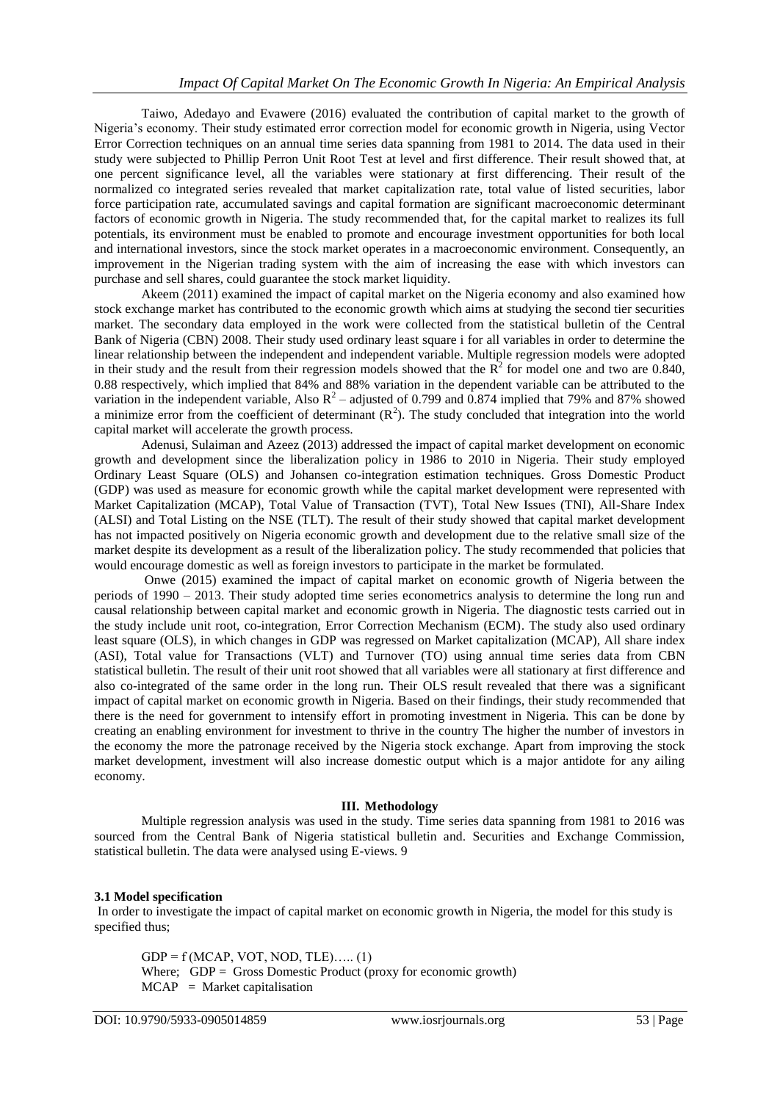Taiwo, Adedayo and Evawere (2016) evaluated the contribution of capital market to the growth of Nigeria's economy. Their study estimated error correction model for economic growth in Nigeria, using Vector Error Correction techniques on an annual time series data spanning from 1981 to 2014. The data used in their study were subjected to Phillip Perron Unit Root Test at level and first difference. Their result showed that, at one percent significance level, all the variables were stationary at first differencing. Their result of the normalized co integrated series revealed that market capitalization rate, total value of listed securities, labor force participation rate, accumulated savings and capital formation are significant macroeconomic determinant factors of economic growth in Nigeria. The study recommended that, for the capital market to realizes its full potentials, its environment must be enabled to promote and encourage investment opportunities for both local and international investors, since the stock market operates in a macroeconomic environment. Consequently, an improvement in the Nigerian trading system with the aim of increasing the ease with which investors can purchase and sell shares, could guarantee the stock market liquidity.

Akeem (2011) examined the impact of capital market on the Nigeria economy and also examined how stock exchange market has contributed to the economic growth which aims at studying the second tier securities market. The secondary data employed in the work were collected from the statistical bulletin of the Central Bank of Nigeria (CBN) 2008. Their study used ordinary least square i for all variables in order to determine the linear relationship between the independent and independent variable. Multiple regression models were adopted in their study and the result from their regression models showed that the  $\mathbb{R}^2$  for model one and two are 0.840, 0.88 respectively, which implied that 84% and 88% variation in the dependent variable can be attributed to the variation in the independent variable, Also  $R^2$  – adjusted of 0.799 and 0.874 implied that 79% and 87% showed a minimize error from the coefficient of determinant  $(R^2)$ . The study concluded that integration into the world capital market will accelerate the growth process.

Adenusi, Sulaiman and Azeez (2013) addressed the impact of capital market development on economic growth and development since the liberalization policy in 1986 to 2010 in Nigeria. Their study employed Ordinary Least Square (OLS) and Johansen co-integration estimation techniques. Gross Domestic Product (GDP) was used as measure for economic growth while the capital market development were represented with Market Capitalization (MCAP), Total Value of Transaction (TVT), Total New Issues (TNI), All-Share Index (ALSI) and Total Listing on the NSE (TLT). The result of their study showed that capital market development has not impacted positively on Nigeria economic growth and development due to the relative small size of the market despite its development as a result of the liberalization policy. The study recommended that policies that would encourage domestic as well as foreign investors to participate in the market be formulated.

Onwe (2015) examined the impact of capital market on economic growth of Nigeria between the periods of 1990 – 2013. Their study adopted time series econometrics analysis to determine the long run and causal relationship between capital market and economic growth in Nigeria. The diagnostic tests carried out in the study include unit root, co-integration, Error Correction Mechanism (ECM). The study also used ordinary least square (OLS), in which changes in GDP was regressed on Market capitalization (MCAP), All share index (ASI), Total value for Transactions (VLT) and Turnover (TO) using annual time series data from CBN statistical bulletin. The result of their unit root showed that all variables were all stationary at first difference and also co-integrated of the same order in the long run. Their OLS result revealed that there was a significant impact of capital market on economic growth in Nigeria. Based on their findings, their study recommended that there is the need for government to intensify effort in promoting investment in Nigeria. This can be done by creating an enabling environment for investment to thrive in the country The higher the number of investors in the economy the more the patronage received by the Nigeria stock exchange. Apart from improving the stock market development, investment will also increase domestic output which is a major antidote for any ailing economy.

#### **III. Methodology**

Multiple regression analysis was used in the study. Time series data spanning from 1981 to 2016 was sourced from the Central Bank of Nigeria statistical bulletin and. Securities and Exchange Commission, statistical bulletin. The data were analysed using E-views. 9

#### **3.1 Model specification**

In order to investigate the impact of capital market on economic growth in Nigeria, the model for this study is specified thus;

 $GDP = f(MCAP, VOT, NOD, TLE)$ ….. (1) Where; GDP = Gross Domestic Product (proxy for economic growth)  $MCAP$  = Market capitalisation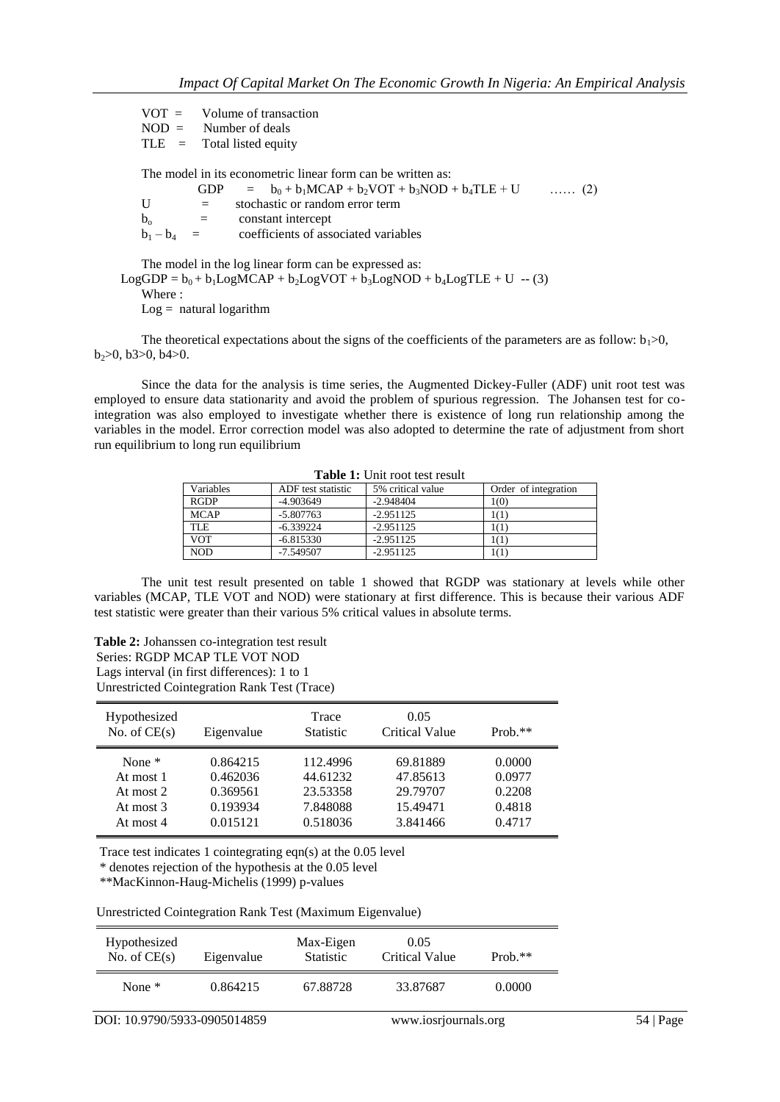$VOT = Volume of transaction  
\nNOD = Number of deals$ Number of deals  $TLE = \text{Total listed equity}$ 

The model in its econometric linear form can be written as:

|               |                           | GDP = $b_0 + b_1 MCAP + b_2 VOT + b_3 NOD + b_4 TLE + U$ | $\ldots$ (2) |
|---------------|---------------------------|----------------------------------------------------------|--------------|
| U             | $=$                       | stochastic or random error term                          |              |
| $b_{\alpha}$  | $\mathbf{r} = \mathbf{r}$ | constant intercept                                       |              |
| $b_1 - b_4 =$ |                           | coefficients of associated variables                     |              |
|               |                           |                                                          |              |

The model in the log linear form can be expressed as:  $LogGDP = b_0 + b_1LogMCAP + b_2LogVOT + b_3LogNOD + b_4LogTLE + U - (3)$ Where :  $Log =$  natural logarithm

The theoretical expectations about the signs of the coefficients of the parameters are as follow:  $b_1>0$ ,  $b_2>0$ ,  $b_3>0$ ,  $b_4>0$ .

Since the data for the analysis is time series, the Augmented Dickey-Fuller (ADF) unit root test was employed to ensure data stationarity and avoid the problem of spurious regression. The Johansen test for cointegration was also employed to investigate whether there is existence of long run relationship among the variables in the model. Error correction model was also adopted to determine the rate of adjustment from short run equilibrium to long run equilibrium

| Variables   | ADF test statistic | 5% critical value | Order of integration |  |  |  |
|-------------|--------------------|-------------------|----------------------|--|--|--|
| <b>RGDP</b> | $-4.903649$        | $-2.948404$       | 1(0)                 |  |  |  |
| <b>MCAP</b> | $-5.807763$        | $-2.951125$       |                      |  |  |  |
| <b>TLE</b>  | $-6.339224$        | $-2.951125$       | 101                  |  |  |  |
| <b>VOT</b>  | $-6.815330$        | $-2.951125$       | 101                  |  |  |  |
| <b>NOD</b>  | $-7.549507$        | $-2.951125$       | 101                  |  |  |  |

**Table 1:** Unit root test result

The unit test result presented on table 1 showed that RGDP was stationary at levels while other variables (MCAP, TLE VOT and NOD) were stationary at first difference. This is because their various ADF test statistic were greater than their various 5% critical values in absolute terms.

**Table 2:** Johanssen co-integration test result Series: RGDP MCAP TLE VOT NOD Lags interval (in first differences): 1 to 1 Unrestricted Cointegration Rank Test (Trace)

| Hypothesized<br>No. of $CE(s)$ | Eigenvalue | Trace<br><b>Statistic</b> | 0.05<br><b>Critical Value</b> | $Prob.**$ |
|--------------------------------|------------|---------------------------|-------------------------------|-----------|
| None $*$                       | 0.864215   | 112.4996                  | 69.81889                      | 0.0000    |
| At most 1                      | 0.462036   | 44.61232                  | 47.85613                      | 0.0977    |
| At most $2$                    | 0.369561   | 23.53358                  | 29.79707                      | 0.2208    |
| At most 3                      | 0.193934   | 7.848088                  | 15.49471                      | 0.4818    |
| At most 4                      | 0.015121   | 0.518036                  | 3.841466                      | 0.4717    |

Trace test indicates 1 cointegrating eqn(s) at the 0.05 level

\* denotes rejection of the hypothesis at the 0.05 level

\*\*MacKinnon-Haug-Michelis (1999) p-values

Unrestricted Cointegration Rank Test (Maximum Eigenvalue)

| Hypothesized<br>No. of $CE(s)$ | Eigenvalue | Max-Eigen<br><b>Statistic</b> | 0.05<br>Critical Value | Prob. $**$ |  |
|--------------------------------|------------|-------------------------------|------------------------|------------|--|
| None $*$                       | 0.864215   | 67.88728                      | 33.87687               | 0.0000     |  |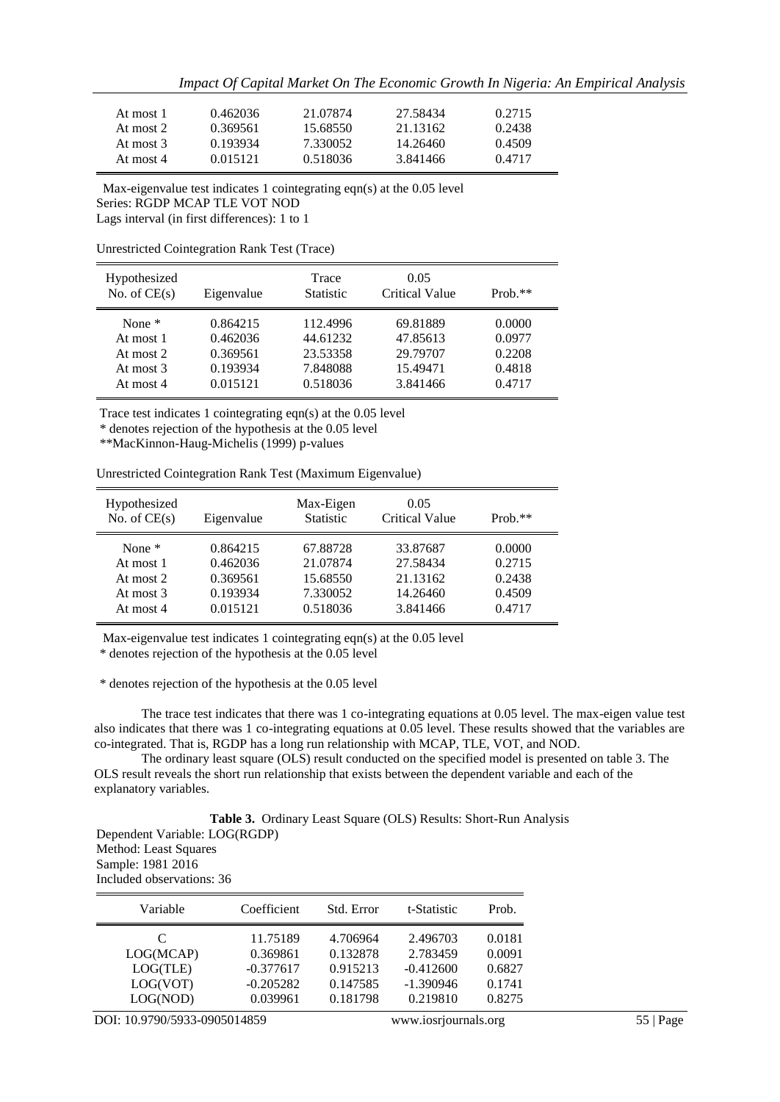*Impact Of Capital Market On The Economic Growth In Nigeria: An Empirical Analysis*

| At most 1 | 0.462036 | 21.07874 | 27.58434 | 0.2715 |
|-----------|----------|----------|----------|--------|
| At most 2 | 0.369561 | 15.68550 | 21.13162 | 0.2438 |
| At most 3 | 0.193934 | 7.330052 | 14.26460 | 0.4509 |
| At most 4 | 0.015121 | 0.518036 | 3.841466 | 0.4717 |

 Max-eigenvalue test indicates 1 cointegrating eqn(s) at the 0.05 level Series: RGDP MCAP TLE VOT NOD Lags interval (in first differences): 1 to 1

Unrestricted Cointegration Rank Test (Trace)

| Hypothesized<br>No. of $CE(s)$ | Eigenvalue | Trace<br><b>Statistic</b> | 0.05<br><b>Critical Value</b> | $Prob.**$ |
|--------------------------------|------------|---------------------------|-------------------------------|-----------|
| None $*$                       | 0.864215   | 112.4996                  | 69.81889                      | 0.0000    |
| At most 1                      | 0.462036   | 44.61232                  | 47.85613                      | 0.0977    |
| At most 2                      | 0.369561   | 23.53358                  | 29.79707                      | 0.2208    |
| At most 3                      | 0.193934   | 7.848088                  | 15.49471                      | 0.4818    |
| At most 4                      | 0.015121   | 0.518036                  | 3.841466                      | 0.4717    |

Trace test indicates 1 cointegrating eqn(s) at the 0.05 level

\* denotes rejection of the hypothesis at the 0.05 level

\*\*MacKinnon-Haug-Michelis (1999) p-values

| Unrestricted Cointegration Rank Test (Maximum Eigenvalue) |  |  |
|-----------------------------------------------------------|--|--|
|                                                           |  |  |

| Hypothesized<br>No. of $CE(s)$ | Eigenvalue | Max-Eigen<br><b>Statistic</b> | 0.05<br><b>Critical Value</b> | $Prob.**$ |
|--------------------------------|------------|-------------------------------|-------------------------------|-----------|
| None $*$                       | 0.864215   | 67.88728                      | 33.87687                      | 0.0000    |
| At most 1                      | 0.462036   | 21.07874                      | 27.58434                      | 0.2715    |
| At most 2                      | 0.369561   | 15.68550                      | 21.13162                      | 0.2438    |
| At most $3$                    | 0.193934   | 7.330052                      | 14.26460                      | 0.4509    |
| At most 4                      | 0.015121   | 0.518036                      | 3.841466                      | 0.4717    |

Max-eigenvalue test indicates 1 cointegrating eqn(s) at the 0.05 level

\* denotes rejection of the hypothesis at the 0.05 level

\* denotes rejection of the hypothesis at the 0.05 level

The trace test indicates that there was 1 co-integrating equations at 0.05 level. The max-eigen value test also indicates that there was 1 co-integrating equations at 0.05 level. These results showed that the variables are co-integrated. That is, RGDP has a long run relationship with MCAP, TLE, VOT, and NOD.

The ordinary least square (OLS) result conducted on the specified model is presented on table 3. The OLS result reveals the short run relationship that exists between the dependent variable and each of the explanatory variables.

**Table 3.** Ordinary Least Square (OLS) Results: Short-Run Analysis Dependent Variable: LOG(RGDP) Method: Least Squares Sample: 1981 2016 Included observations: 36

| Variable<br>Coefficient<br>t-Statistic<br>Std. Error                                                                                                                                                                                               |                                                |
|----------------------------------------------------------------------------------------------------------------------------------------------------------------------------------------------------------------------------------------------------|------------------------------------------------|
| 11.75189<br>2.496703<br>4.706964<br>C<br>0.132878<br>2.783459<br>LOG(MCAP)<br>0.369861<br>LOG(TLE)<br>0.915213<br>$-0.377617$<br>$-0.412600$<br>LOG(VOT)<br>$-0.205282$<br>0.147585<br>$-1.390946$<br>LOG(NOD)<br>0.181798<br>0.219810<br>0.039961 | 0.0181<br>0.0091<br>0.6827<br>0.1741<br>0.8275 |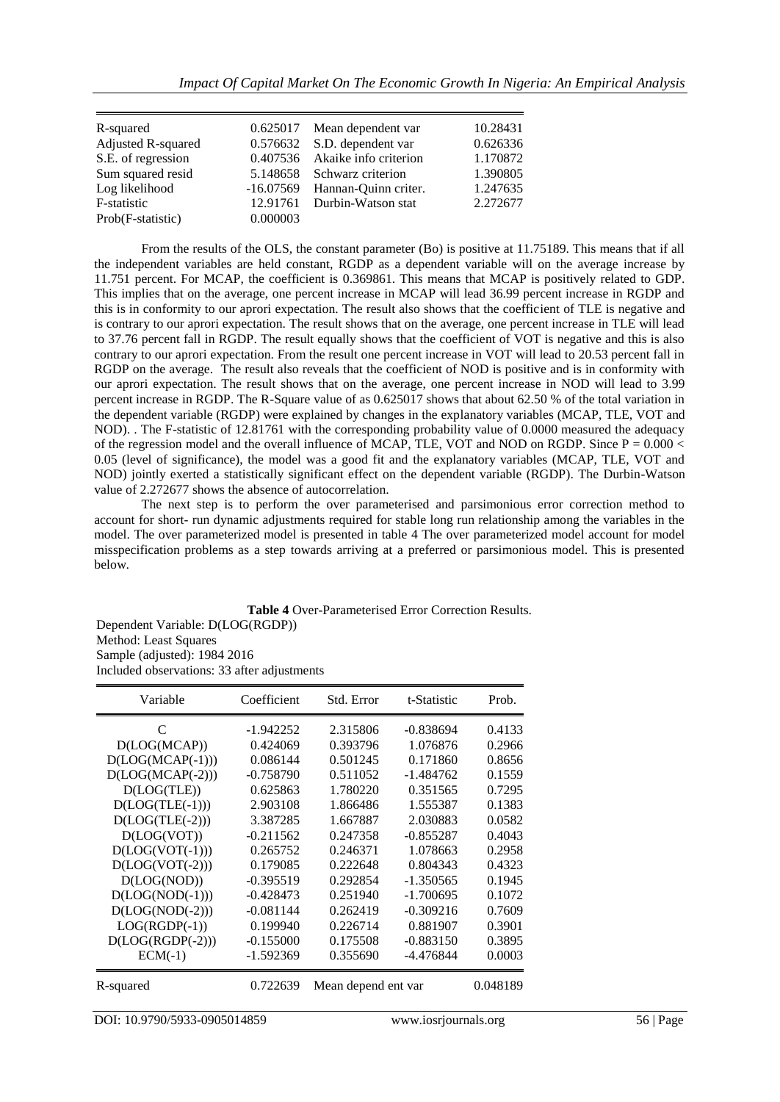| R-squared          |          | 0.625017 Mean dependent var    | 10.28431 |
|--------------------|----------|--------------------------------|----------|
| Adjusted R-squared |          | 0.576632 S.D. dependent var    | 0.626336 |
| S.E. of regression |          | 0.407536 Akaike info criterion | 1.170872 |
| Sum squared resid  |          | 5.148658 Schwarz criterion     | 1.390805 |
| Log likelihood     |          | -16.07569 Hannan-Quinn criter. | 1.247635 |
| F-statistic        |          | 12.91761 Durbin-Watson stat    | 2.272677 |
| Prob(F-statistic)  | 0.000003 |                                |          |

From the results of the OLS, the constant parameter (Bo) is positive at 11.75189. This means that if all the independent variables are held constant, RGDP as a dependent variable will on the average increase by 11.751 percent. For MCAP, the coefficient is 0.369861. This means that MCAP is positively related to GDP. This implies that on the average, one percent increase in MCAP will lead 36.99 percent increase in RGDP and this is in conformity to our aprori expectation. The result also shows that the coefficient of TLE is negative and is contrary to our aprori expectation. The result shows that on the average, one percent increase in TLE will lead to 37.76 percent fall in RGDP. The result equally shows that the coefficient of VOT is negative and this is also contrary to our aprori expectation. From the result one percent increase in VOT will lead to 20.53 percent fall in RGDP on the average. The result also reveals that the coefficient of NOD is positive and is in conformity with our aprori expectation. The result shows that on the average, one percent increase in NOD will lead to 3.99 percent increase in RGDP. The R-Square value of as 0.625017 shows that about 62.50 % of the total variation in the dependent variable (RGDP) were explained by changes in the explanatory variables (MCAP, TLE, VOT and NOD). . The F-statistic of 12.81761 with the corresponding probability value of 0.0000 measured the adequacy of the regression model and the overall influence of MCAP, TLE, VOT and NOD on RGDP. Since  $P = 0.000 <$ 0.05 (level of significance), the model was a good fit and the explanatory variables (MCAP, TLE, VOT and NOD) jointly exerted a statistically significant effect on the dependent variable (RGDP). The Durbin-Watson value of 2.272677 shows the absence of autocorrelation.

The next step is to perform the over parameterised and parsimonious error correction method to account for short- run dynamic adjustments required for stable long run relationship among the variables in the model. The over parameterized model is presented in table 4 The over parameterized model account for model misspecification problems as a step towards arriving at a preferred or parsimonious model. This is presented below.

**Table 4** Over-Parameterised Error Correction Results.

Dependent Variable: D(LOG(RGDP)) Method: Least Squares Sample (adjusted): 1984 2016 Included observations: 33 after adjustments

| Variable           | Coefficient | Std. Error          | t-Statistic | Prob.    |
|--------------------|-------------|---------------------|-------------|----------|
| C                  | -1.942252   | 2.315806            | $-0.838694$ | 0.4133   |
| D(LOG(MCAP))       | 0.424069    | 0.393796            | 1.076876    | 0.2966   |
| $D(LOG(MCAP(-1)))$ | 0.086144    | 0.501245            | 0.171860    | 0.8656   |
| $D(LOG(MCAP(-2)))$ | $-0.758790$ | 0.511052            | $-1.484762$ | 0.1559   |
| D(LOG(TLE))        | 0.625863    | 1.780220            | 0.351565    | 0.7295   |
| $D(LOG(TLE(-1)))$  | 2.903108    | 1.866486            | 1.555387    | 0.1383   |
| $D(LOG(TLE(-2)))$  | 3.387285    | 1.667887            | 2.030883    | 0.0582   |
| D (LOG(VOT))       | $-0.211562$ | 0.247358            | $-0.855287$ | 0.4043   |
| $D(LOG(VOT(-1)))$  | 0.265752    | 0.246371            | 1.078663    | 0.2958   |
| $D(LOG(VOT(-2)))$  | 0.179085    | 0.222648            | 0.804343    | 0.4323   |
| D(LOG(NOD))        | $-0.395519$ | 0.292854            | $-1.350565$ | 0.1945   |
| $D(LOG(NOD(-1)))$  | $-0.428473$ | 0.251940            | $-1.700695$ | 0.1072   |
| $D(LOG(NOD(-2)))$  | $-0.081144$ | 0.262419            | $-0.309216$ | 0.7609   |
| $LOG(RGDP(-1))$    | 0.199940    | 0.226714            | 0.881907    | 0.3901   |
| $D(LOG(RGDP(-2)))$ | $-0.155000$ | 0.175508            | $-0.883150$ | 0.3895   |
| $ECM(-1)$          | -1.592369   | 0.355690            | -4.476844   | 0.0003   |
| R-squared          | 0.722639    | Mean depend ent var |             | 0.048189 |

DOI: 10.9790/5933-0905014859 www.iosrjournals.org 56 | Page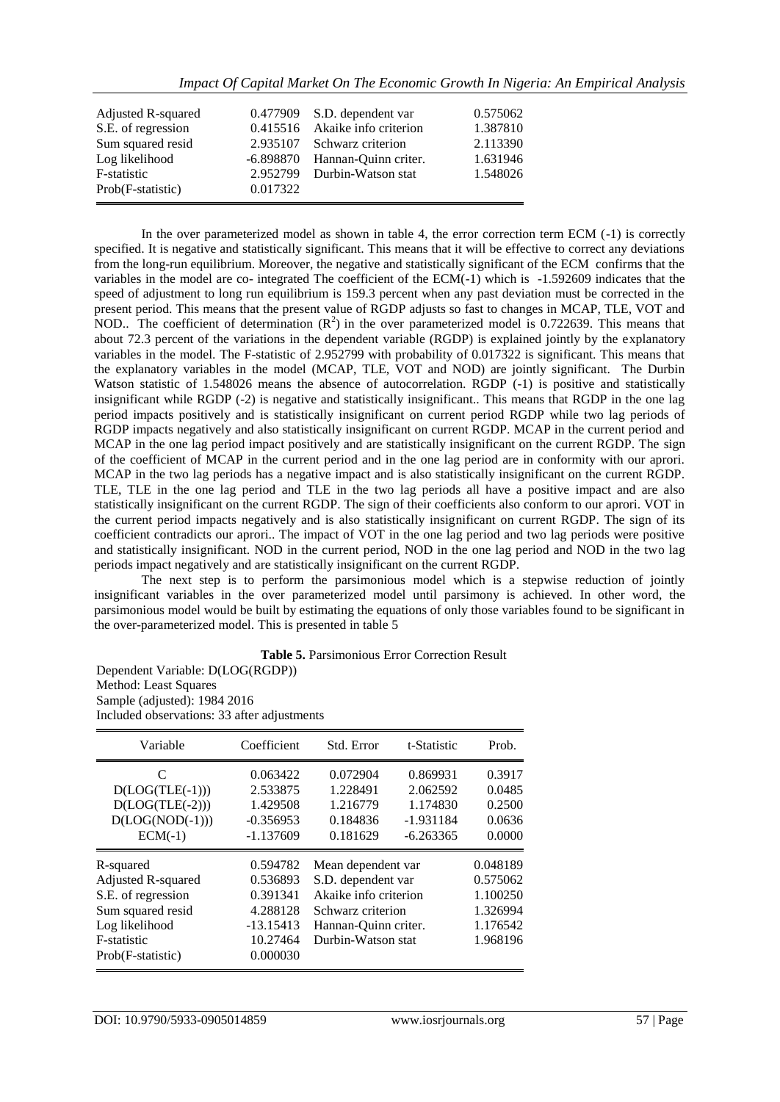| Adjusted R-squared |          | 0.477909 S.D. dependent var    | 0.575062 |
|--------------------|----------|--------------------------------|----------|
| S.E. of regression |          | 0.415516 Akaike info criterion | 1.387810 |
| Sum squared resid  |          | 2.935107 Schwarz criterion     | 2.113390 |
| Log likelihood     |          | -6.898870 Hannan-Ouinn criter. | 1.631946 |
| F-statistic        |          | 2.952799 Durbin-Watson stat    | 1.548026 |
| Prob(F-statistic)  | 0.017322 |                                |          |
|                    |          |                                |          |

*Impact Of Capital Market On The Economic Growth In Nigeria: An Empirical Analysis*

In the over parameterized model as shown in table 4, the error correction term ECM (-1) is correctly specified. It is negative and statistically significant. This means that it will be effective to correct any deviations from the long-run equilibrium. Moreover, the negative and statistically significant of the ECM confirms that the variables in the model are co- integrated The coefficient of the ECM(-1) which is -1.592609 indicates that the speed of adjustment to long run equilibrium is 159.3 percent when any past deviation must be corrected in the present period. This means that the present value of RGDP adjusts so fast to changes in MCAP, TLE, VOT and NOD.. The coefficient of determination  $(R^2)$  in the over parameterized model is 0.722639. This means that about 72.3 percent of the variations in the dependent variable (RGDP) is explained jointly by the explanatory variables in the model. The F-statistic of 2.952799 with probability of 0.017322 is significant. This means that the explanatory variables in the model (MCAP, TLE, VOT and NOD) are jointly significant. The Durbin Watson statistic of 1.548026 means the absence of autocorrelation. RGDP (-1) is positive and statistically insignificant while RGDP (-2) is negative and statistically insignificant.. This means that RGDP in the one lag period impacts positively and is statistically insignificant on current period RGDP while two lag periods of RGDP impacts negatively and also statistically insignificant on current RGDP. MCAP in the current period and MCAP in the one lag period impact positively and are statistically insignificant on the current RGDP. The sign of the coefficient of MCAP in the current period and in the one lag period are in conformity with our aprori. MCAP in the two lag periods has a negative impact and is also statistically insignificant on the current RGDP. TLE, TLE in the one lag period and TLE in the two lag periods all have a positive impact and are also statistically insignificant on the current RGDP. The sign of their coefficients also conform to our aprori. VOT in the current period impacts negatively and is also statistically insignificant on current RGDP. The sign of its coefficient contradicts our aprori.. The impact of VOT in the one lag period and two lag periods were positive and statistically insignificant. NOD in the current period, NOD in the one lag period and NOD in the two lag periods impact negatively and are statistically insignificant on the current RGDP.

The next step is to perform the parsimonious model which is a stepwise reduction of jointly insignificant variables in the over parameterized model until parsimony is achieved. In other word, the parsimonious model would be built by estimating the equations of only those variables found to be significant in the over-parameterized model. This is presented in table 5

|  |  | <b>Table 5. Parsimonious Error Correction Result</b> |  |
|--|--|------------------------------------------------------|--|
|  |  |                                                      |  |

Dependent Variable: D(LOG(RGDP)) Method: Least Squares Sample (adjusted): 1984 2016 Included observations: 33 after adjustments

| Variable                                                                                                                                                                                                                       | Coefficient                                                    | Std. Error                                                                                                                           | t-Statistic                                                          | Prob.                                          |
|--------------------------------------------------------------------------------------------------------------------------------------------------------------------------------------------------------------------------------|----------------------------------------------------------------|--------------------------------------------------------------------------------------------------------------------------------------|----------------------------------------------------------------------|------------------------------------------------|
| C<br>$D(LOG(TLE(-1)))$<br>$D(LOG(TLE(-2)))$<br>$D(LOG(NOD(-1)))$<br>$ECM(-1)$                                                                                                                                                  | 0.063422<br>2.533875<br>1.429508<br>$-0.356953$<br>$-1.137609$ | 0.072904<br>1.228491<br>1.216779<br>0.184836<br>0.181629                                                                             | 0.869931<br>2.062592<br>1.174830<br>$-1.931184$<br>$-6.263365$       | 0.3917<br>0.0485<br>0.2500<br>0.0636<br>0.0000 |
| 0.594782<br>R-squared<br><b>Adjusted R-squared</b><br>0.536893<br>S.E. of regression<br>0.391341<br>Sum squared resid<br>4.288128<br>Log likelihood<br>$-13.15413$<br>F-statistic<br>10.27464<br>0.000030<br>Prob(F-statistic) |                                                                | Mean dependent var<br>S.D. dependent var<br>Akaike info criterion<br>Schwarz criterion<br>Hannan-Quinn criter.<br>Durbin-Watson stat | 0.048189<br>0.575062<br>1.100250<br>1.326994<br>1.176542<br>1.968196 |                                                |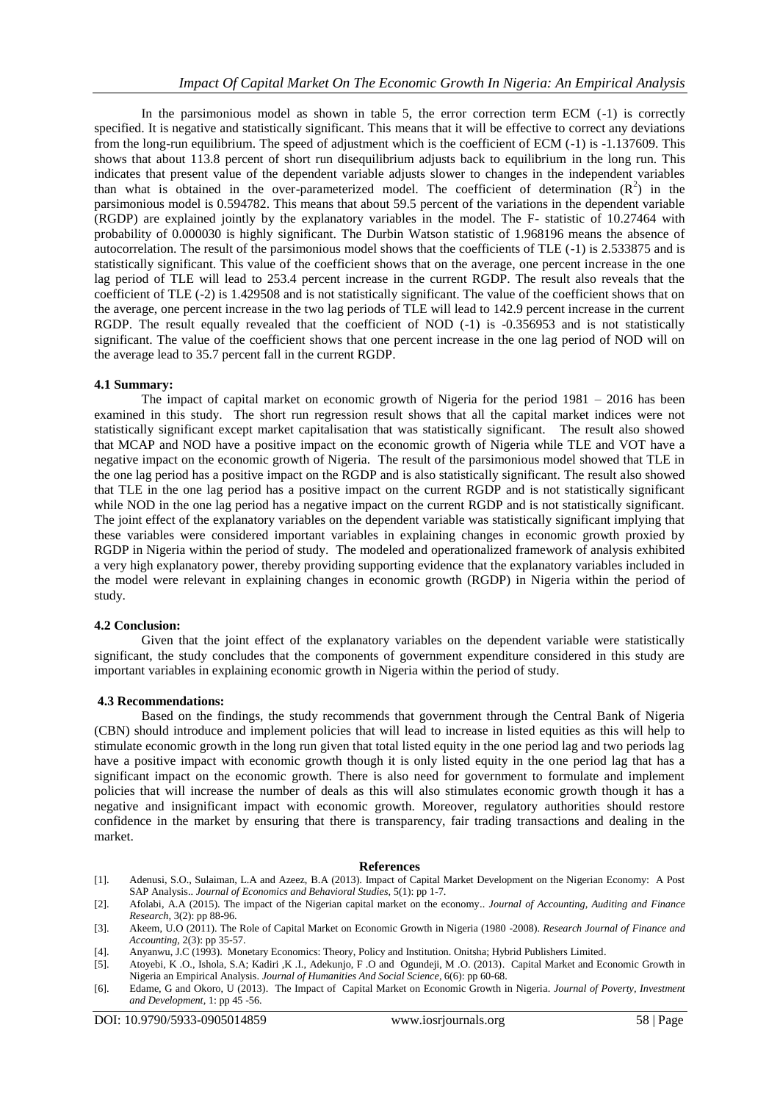In the parsimonious model as shown in table 5, the error correction term ECM  $(-1)$  is correctly specified. It is negative and statistically significant. This means that it will be effective to correct any deviations from the long-run equilibrium. The speed of adjustment which is the coefficient of ECM (-1) is -1.137609. This shows that about 113.8 percent of short run disequilibrium adjusts back to equilibrium in the long run. This indicates that present value of the dependent variable adjusts slower to changes in the independent variables than what is obtained in the over-parameterized model. The coefficient of determination  $(R^2)$  in the parsimonious model is 0.594782. This means that about 59.5 percent of the variations in the dependent variable (RGDP) are explained jointly by the explanatory variables in the model. The F- statistic of 10.27464 with probability of 0.000030 is highly significant. The Durbin Watson statistic of 1.968196 means the absence of autocorrelation. The result of the parsimonious model shows that the coefficients of TLE (-1) is 2.533875 and is statistically significant. This value of the coefficient shows that on the average, one percent increase in the one lag period of TLE will lead to 253.4 percent increase in the current RGDP. The result also reveals that the coefficient of TLE (-2) is 1.429508 and is not statistically significant. The value of the coefficient shows that on the average, one percent increase in the two lag periods of TLE will lead to 142.9 percent increase in the current RGDP. The result equally revealed that the coefficient of NOD  $(-1)$  is  $-0.356953$  and is not statistically significant. The value of the coefficient shows that one percent increase in the one lag period of NOD will on the average lead to 35.7 percent fall in the current RGDP.

#### **4.1 Summary:**

The impact of capital market on economic growth of Nigeria for the period 1981 – 2016 has been examined in this study. The short run regression result shows that all the capital market indices were not statistically significant except market capitalisation that was statistically significant. The result also showed that MCAP and NOD have a positive impact on the economic growth of Nigeria while TLE and VOT have a negative impact on the economic growth of Nigeria. The result of the parsimonious model showed that TLE in the one lag period has a positive impact on the RGDP and is also statistically significant. The result also showed that TLE in the one lag period has a positive impact on the current RGDP and is not statistically significant while NOD in the one lag period has a negative impact on the current RGDP and is not statistically significant. The joint effect of the explanatory variables on the dependent variable was statistically significant implying that these variables were considered important variables in explaining changes in economic growth proxied by RGDP in Nigeria within the period of study. The modeled and operationalized framework of analysis exhibited a very high explanatory power, thereby providing supporting evidence that the explanatory variables included in the model were relevant in explaining changes in economic growth (RGDP) in Nigeria within the period of study.

#### **4.2 Conclusion:**

Given that the joint effect of the explanatory variables on the dependent variable were statistically significant, the study concludes that the components of government expenditure considered in this study are important variables in explaining economic growth in Nigeria within the period of study.

#### **4.3 Recommendations:**

Based on the findings, the study recommends that government through the Central Bank of Nigeria (CBN) should introduce and implement policies that will lead to increase in listed equities as this will help to stimulate economic growth in the long run given that total listed equity in the one period lag and two periods lag have a positive impact with economic growth though it is only listed equity in the one period lag that has a significant impact on the economic growth. There is also need for government to formulate and implement policies that will increase the number of deals as this will also stimulates economic growth though it has a negative and insignificant impact with economic growth. Moreover, regulatory authorities should restore confidence in the market by ensuring that there is transparency, fair trading transactions and dealing in the market.

#### **References**

[1]. Adenusi, S.O., Sulaiman, L.A and Azeez, B.A (2013). Impact of Capital Market Development on the Nigerian Economy: A Post SAP Analysis.. *Journal of Economics and Behavioral Studies,* 5(1): pp 1-7.

- [3]. Akeem, U.O (2011). The Role of Capital Market on Economic Growth in Nigeria (1980 -2008). *Research Journal of Finance and Accounting,* 2(3): pp 35-57.
- [4]. Anyanwu, J.C (1993). Monetary Economics: Theory, Policy and Institution. Onitsha; Hybrid Publishers Limited.
- [5]. Atoyebi, K .O., Ishola, S.A; Kadiri ,K .I., Adekunjo, F .O and Ogundeji, M .O. (2013). Capital Market and Economic Growth in Nigeria an Empirical Analysis. *Journal of Humanities And Social Science,* 6(6): pp 60-68.
- [6]. Edame, G and Okoro, U (2013). The Impact of Capital Market on Economic Growth in Nigeria. *Journal of Poverty, Investment and Development,* 1: pp 45 -56.

<sup>[2].</sup> Afolabi, A.A (2015). The impact of the Nigerian capital market on the economy.. *Journal of Accounting, Auditing and Finance Research,* 3(2): pp 88-96.